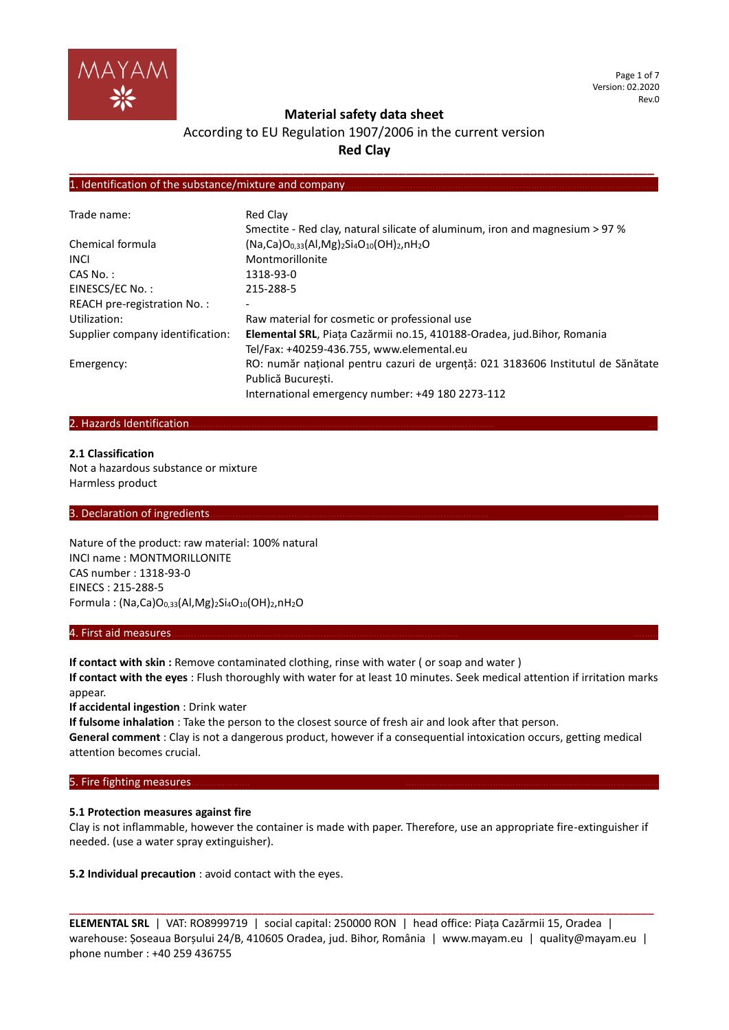

Page 1 of 7 Version: 02.2020 Rev.0

### **Material safety data sheet**

# According to EU Regulation 1907/2006 in the current version **Red Clay**

**\_\_\_\_\_\_\_\_\_\_\_\_\_\_\_\_\_\_\_\_\_\_\_\_\_\_\_\_\_\_\_\_\_\_\_\_\_\_\_\_\_\_\_\_\_\_\_\_\_\_\_\_\_\_\_\_\_\_\_\_\_\_\_\_\_\_\_\_\_\_\_\_\_\_\_\_\_\_\_\_**

### 1. Identification of the substance/mixture and company.

| Trade name:                      | Red Clay                                                                        |
|----------------------------------|---------------------------------------------------------------------------------|
|                                  | Smectite - Red clay, natural silicate of aluminum, iron and magnesium > 97 %    |
| Chemical formula                 | $(Na, Ca)O0,33(Al, Mg)2Si4O10(OH)2,nH2O$                                        |
| <b>INCL</b>                      | Montmorillonite                                                                 |
| CAS No.:                         | 1318-93-0                                                                       |
| EINESCS/EC No.:                  | 215-288-5                                                                       |
| REACH pre-registration No.:      |                                                                                 |
| Utilization:                     | Raw material for cosmetic or professional use                                   |
| Supplier company identification: | Elemental SRL, Piața Cazărmii no.15, 410188-Oradea, jud. Bihor, Romania         |
|                                  | Tel/Fax: +40259-436.755, www.elemental.eu                                       |
| Emergency:                       | RO: număr național pentru cazuri de urgență: 021 3183606 Institutul de Sănătate |
|                                  | Publică București.                                                              |
|                                  | International emergency number: +49 180 2273-112                                |

### 2. Hazards Identification.

#### **2.1 Classification**

Not a hazardous substance or mixture Harmless product

### 3. Declaration of ingredients

Nature of the product: raw material: 100% natural INCI name : MONTMORILLONITE CAS number : 1318-93-0 EINECS : 215-288-5 Formula: (Na,Ca)O<sub>0,33</sub>(Al,Mg)<sub>2</sub>Si<sub>4</sub>O<sub>10</sub>(OH)<sub>2</sub>,nH<sub>2</sub>O

#### 4. First aid measures………………………………………………………………………………………… ………

If contact with skin : Remove contaminated clothing, rinse with water (or soap and water ) **If contact with the eyes** : Flush thoroughly with water for at least 10 minutes. Seek medical attention if irritation marks appear.

**If accidental ingestion** : Drink water

**If fulsome inhalation** : Take the person to the closest source of fresh air and look after that person.

**General comment** : Clay is not a dangerous product, however if a consequential intoxication occurs, getting medical attention becomes crucial.

### 5. Fire fighting measures.

#### **5.1 Protection measures against fire**

Clay is not inflammable, however the container is made with paper. Therefore, use an appropriate fire-extinguisher if needed. (use a water spray extinguisher).

**5.2 Individual precaution** : avoid contact with the eyes.

**ELEMENTAL SRL** | VAT: RO8999719 | social capital: 250000 RON | head office: Piața Cazărmii 15, Oradea | warehouse: Șoseaua Borșului 24/B, 410605 Oradea, jud. Bihor, România | www.mayam.eu | quality@mayam.eu | phone number : +40 259 436755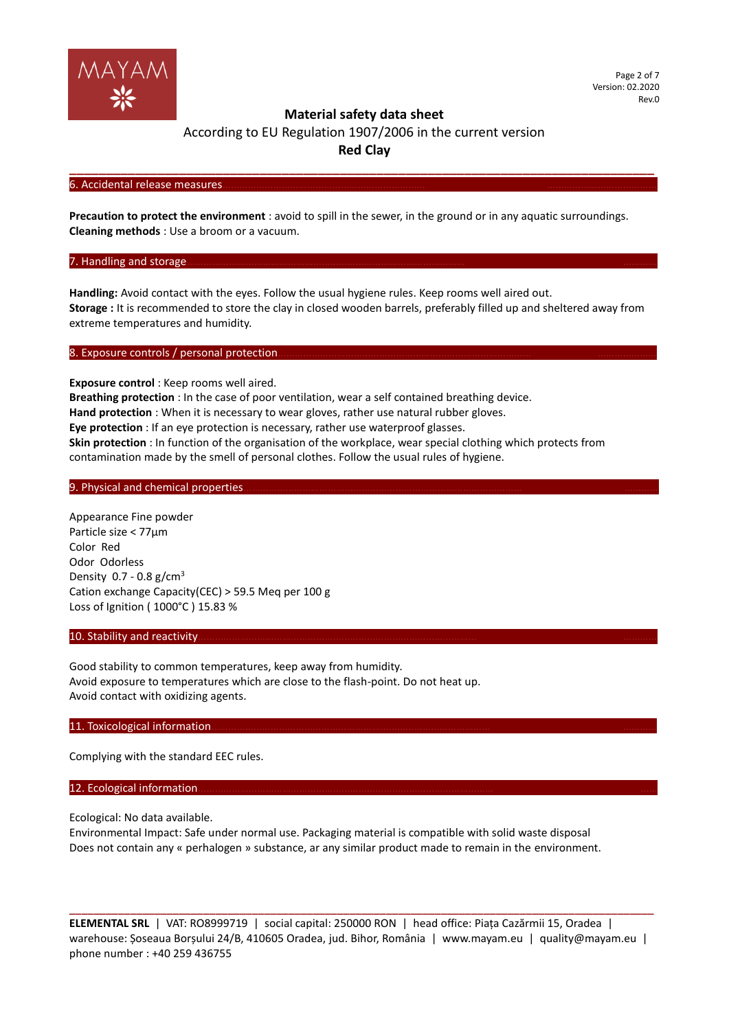

According to EU Regulation 1907/2006 in the current version **Red Clay**

**\_\_\_\_\_\_\_\_\_\_\_\_\_\_\_\_\_\_\_\_\_\_\_\_\_\_\_\_\_\_\_\_\_\_\_\_\_\_\_\_\_\_\_\_\_\_\_\_\_\_\_\_\_\_\_\_\_\_\_\_\_\_\_\_\_\_\_\_\_\_\_\_\_\_\_\_\_\_\_\_**

#### 6. Accidental release measures.

**Precaution to protect the environment** : avoid to spill in the sewer, in the ground or in any aquatic surroundings. **Cleaning methods** : Use a broom or a vacuum.

#### 7. Handling and storage.

**Handling:** Avoid contact with the eyes. Follow the usual hygiene rules. Keep rooms well aired out. **Storage :** It is recommended to store the clay in closed wooden barrels, preferably filled up and sheltered away from extreme temperatures and humidity.

#### 8. Exposure controls / personal protection.

**Exposure control** : Keep rooms well aired.

**Breathing protection** : In the case of poor ventilation, wear a self contained breathing device.

**Hand protection** : When it is necessary to wear gloves, rather use natural rubber gloves.

**Eye protection** : If an eye protection is necessary, rather use waterproof glasses.

**Skin protection** : In function of the organisation of the workplace, wear special clothing which protects from contamination made by the smell of personal clothes. Follow the usual rules of hygiene.

### 9. Physical and chemical properties

Appearance Fine powder Particle size < 77µm Color Red Odor Odorless Density  $0.7 - 0.8$  g/cm<sup>3</sup> Cation exchange Capacity(CEC) > 59.5 Meq per 100 g Loss of Ignition ( 1000°C ) 15.83 %

### 10. Stability and reactivity

Good stability to common temperatures, keep away from humidity. Avoid exposure to temperatures which are close to the flash-point. Do not heat up. Avoid contact with oxidizing agents.

### 11. Toxicological information.

Complying with the standard EEC rules.

### 12. Ecological information

Ecological: No data available.

Environmental Impact: Safe under normal use. Packaging material is compatible with solid waste disposal Does not contain any « perhalogen » substance, ar any similar product made to remain in the environment.

**ELEMENTAL SRL** | VAT: RO8999719 | social capital: 250000 RON | head office: Piața Cazărmii 15, Oradea | warehouse: Șoseaua Borșului 24/B, 410605 Oradea, jud. Bihor, România | www.mayam.eu | quality@mayam.eu | phone number : +40 259 436755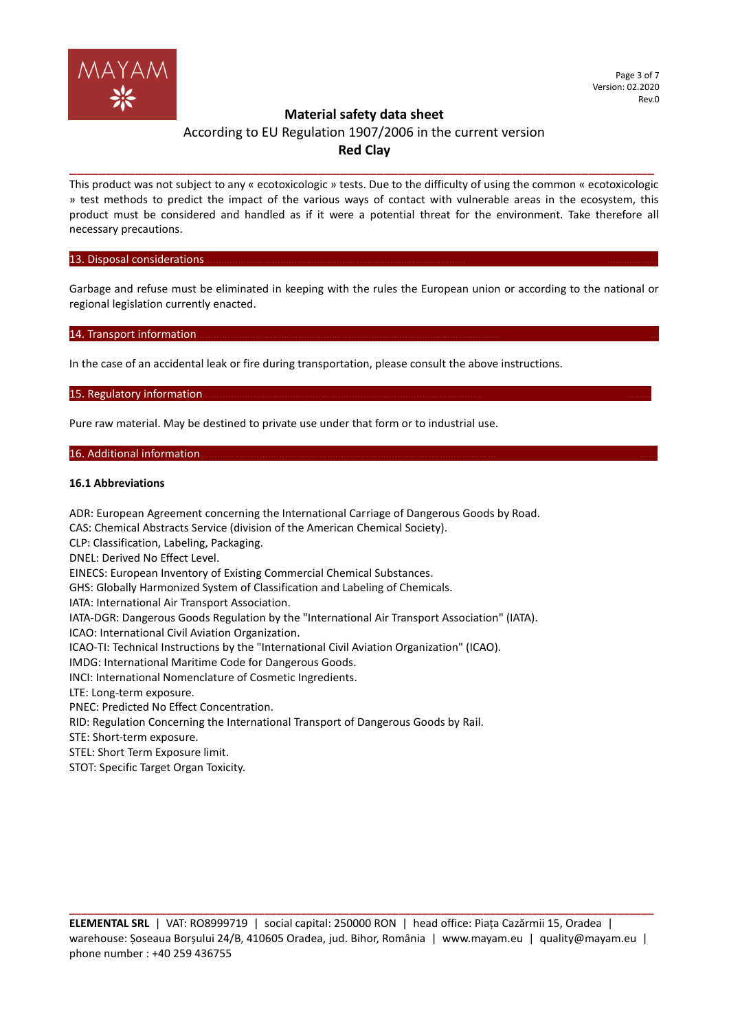

# According to EU Regulation 1907/2006 in the current version **Red Clay**

**\_\_\_\_\_\_\_\_\_\_\_\_\_\_\_\_\_\_\_\_\_\_\_\_\_\_\_\_\_\_\_\_\_\_\_\_\_\_\_\_\_\_\_\_\_\_\_\_\_\_\_\_\_\_\_\_\_\_\_\_\_\_\_\_\_\_\_\_\_\_\_\_\_\_\_\_\_\_\_\_**

This product was not subject to any « ecotoxicologic » tests. Due to the difficulty of using the common « ecotoxicologic » test methods to predict the impact of the various ways of contact with vulnerable areas in the ecosystem, this product must be considered and handled as if it were a potential threat for the environment. Take therefore all necessary precautions.

#### 13. Disposal considerations

Garbage and refuse must be eliminated in keeping with the rules the European union or according to the national or regional legislation currently enacted.

### 14. Transport information.

In the case of an accidental leak or fire during transportation, please consult the above instructions.

### 15. Regulatory information

Pure raw material. May be destined to private use under that form or to industrial use.

#### 16. Additional information.

#### **16.1 Abbreviations**

ADR: European Agreement concerning the International Carriage of Dangerous Goods by Road. CAS: Chemical Abstracts Service (division of the American Chemical Society). CLP: Classification, Labeling, Packaging. DNEL: Derived No Effect Level. EINECS: European Inventory of Existing Commercial Chemical Substances. GHS: Globally Harmonized System of Classification and Labeling of Chemicals. IATA: International Air Transport Association. IATA-DGR: Dangerous Goods Regulation by the "International Air Transport Association" (IATA). ICAO: International Civil Aviation Organization. ICAO-TI: Technical Instructions by the "International Civil Aviation Organization" (ICAO). IMDG: International Maritime Code for Dangerous Goods. INCI: International Nomenclature of Cosmetic Ingredients. LTE: Long-term exposure. PNEC: Predicted No Effect Concentration. RID: Regulation Concerning the International Transport of Dangerous Goods by Rail. STE: Short-term exposure. STEL: Short Term Exposure limit. STOT: Specific Target Organ Toxicity.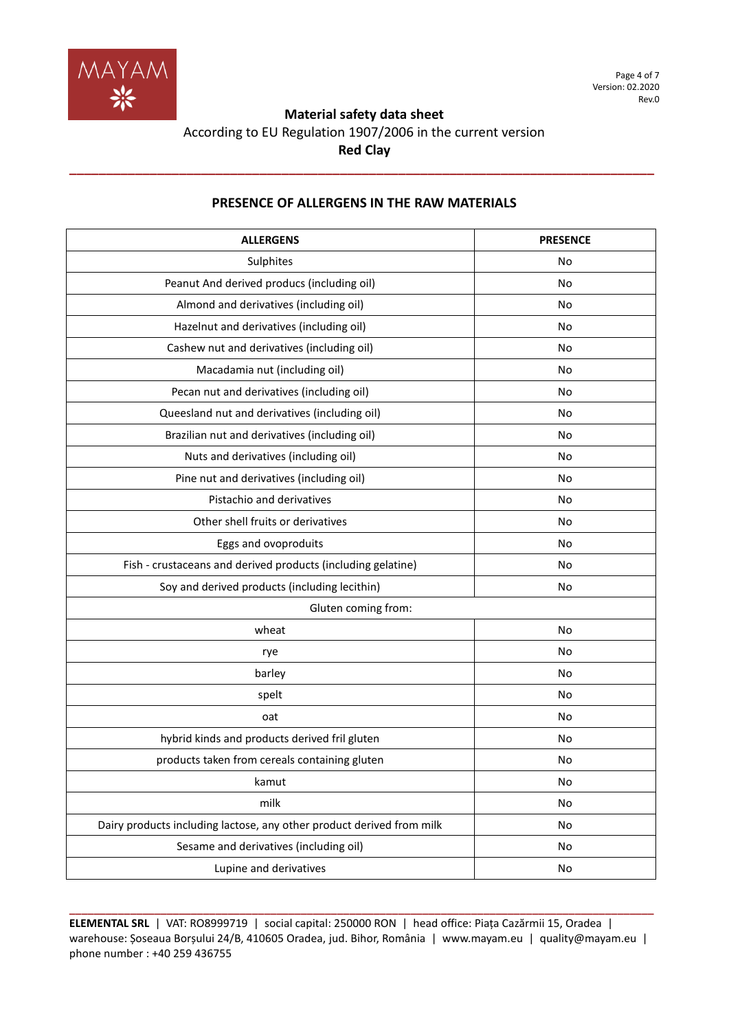

Page 4 of 7 Version: 02.2020 Rev.0

# **Material safety data sheet**

# According to EU Regulation 1907/2006 in the current version **Red Clay**

**\_\_\_\_\_\_\_\_\_\_\_\_\_\_\_\_\_\_\_\_\_\_\_\_\_\_\_\_\_\_\_\_\_\_\_\_\_\_\_\_\_\_\_\_\_\_\_\_\_\_\_\_\_\_\_\_\_\_\_\_\_\_\_\_\_\_\_\_\_\_\_\_\_\_\_\_\_\_\_\_**

| <b>ALLERGENS</b>                                                      | <b>PRESENCE</b> |
|-----------------------------------------------------------------------|-----------------|
| Sulphites                                                             | No              |
| Peanut And derived producs (including oil)                            | No              |
| Almond and derivatives (including oil)                                | No              |
| Hazelnut and derivatives (including oil)                              | No              |
| Cashew nut and derivatives (including oil)                            | No              |
| Macadamia nut (including oil)                                         | No              |
| Pecan nut and derivatives (including oil)                             | No              |
| Queesland nut and derivatives (including oil)                         | No              |
| Brazilian nut and derivatives (including oil)                         | No              |
| Nuts and derivatives (including oil)                                  | No              |
| Pine nut and derivatives (including oil)                              | No              |
| Pistachio and derivatives                                             | No              |
| Other shell fruits or derivatives                                     | No              |
| Eggs and ovoproduits                                                  | No              |
| Fish - crustaceans and derived products (including gelatine)          | No              |
| Soy and derived products (including lecithin)                         | No              |
| Gluten coming from:                                                   |                 |
| wheat                                                                 | No              |
| rye                                                                   | No              |
| barley                                                                | <b>No</b>       |
| spelt                                                                 | No              |
| oat                                                                   | No              |
| hybrid kinds and products derived fril gluten                         | No              |
| products taken from cereals containing gluten                         | No              |
| kamut                                                                 | No              |
| milk                                                                  | No              |
| Dairy products including lactose, any other product derived from milk | No              |
| Sesame and derivatives (including oil)                                | No              |
| Lupine and derivatives                                                | No              |

# **PRESENCE OF ALLERGENS IN THE RAW MATERIALS**

**ELEMENTAL SRL** | VAT: RO8999719 | social capital: 250000 RON | head office: Piața Cazărmii 15, Oradea | warehouse: Șoseaua Borșului 24/B, 410605 Oradea, jud. Bihor, România | www.mayam.eu | quality@mayam.eu | phone number : +40 259 436755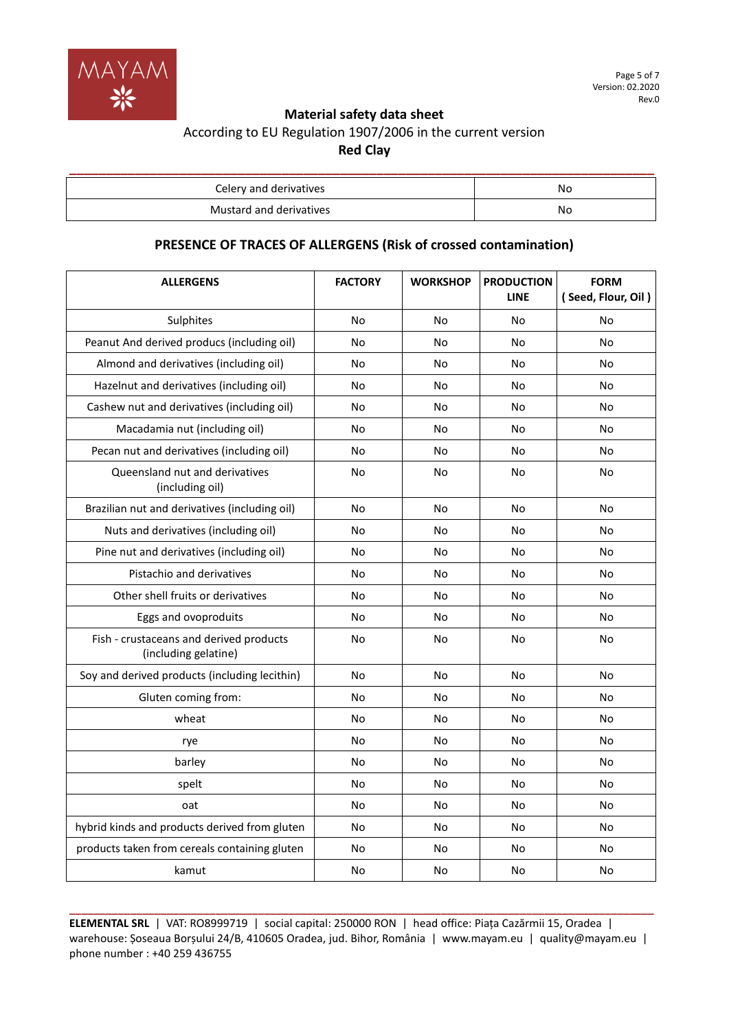

# According to EU Regulation 1907/2006 in the current version **Red Clay**

| Celery and derivatives  | No. |
|-------------------------|-----|
| Mustard and derivatives | No  |

# **PRESENCE OF TRACES OF ALLERGENS (Risk of crossed contamination)**

| <b>ALLERGENS</b>                                                | <b>FACTORY</b> | <b>WORKSHOP</b> | <b>PRODUCTION</b><br><b>LINE</b> | <b>FORM</b><br>(Seed, Flour, Oil) |
|-----------------------------------------------------------------|----------------|-----------------|----------------------------------|-----------------------------------|
| Sulphites                                                       | No             | No              | No                               | No                                |
| Peanut And derived producs (including oil)                      | No             | No              | No                               | No                                |
| Almond and derivatives (including oil)                          | No             | No              | No                               | No                                |
| Hazelnut and derivatives (including oil)                        | No             | No              | No                               | No                                |
| Cashew nut and derivatives (including oil)                      | No             | No              | No                               | No                                |
| Macadamia nut (including oil)                                   | No             | No              | No                               | No                                |
| Pecan nut and derivatives (including oil)                       | No             | No              | No                               | No                                |
| Queensland nut and derivatives<br>(including oil)               | No             | No              | No                               | No                                |
| Brazilian nut and derivatives (including oil)                   | <b>No</b>      | No              | <b>No</b>                        | No                                |
| Nuts and derivatives (including oil)                            | No             | No              | No                               | No                                |
| Pine nut and derivatives (including oil)                        | No             | No              | No                               | No                                |
| Pistachio and derivatives                                       | No             | No              | No                               | No                                |
| Other shell fruits or derivatives                               | No             | No              | No                               | No                                |
| Eggs and ovoproduits                                            | No             | No              | No                               | <b>No</b>                         |
| Fish - crustaceans and derived products<br>(including gelatine) | No             | No              | No                               | No                                |
| Soy and derived products (including lecithin)                   | No             | No              | No                               | No                                |
| Gluten coming from:                                             | No             | No              | No                               | No                                |
| wheat                                                           | No             | No              | No                               | No                                |
| rye                                                             | No             | No              | No                               | No                                |
| barley                                                          | No             | No              | No                               | No                                |
| spelt                                                           | No             | No              | No                               | No                                |
| oat                                                             | No             | No              | No                               | No                                |
| hybrid kinds and products derived from gluten                   | N <sub>o</sub> | <b>No</b>       | <b>No</b>                        | No                                |
| products taken from cereals containing gluten                   | No             | No              | No                               | No                                |
| kamut                                                           | No             | No              | No                               | No                                |

**ELEMENTAL SRL** | VAT: RO8999719 | social capital: 250000 RON | head office: Piața Cazărmii 15, Oradea | warehouse: Șoseaua Borșului 24/B, 410605 Oradea, jud. Bihor, România | www.mayam.eu | quality@mayam.eu | phone number : +40 259 436755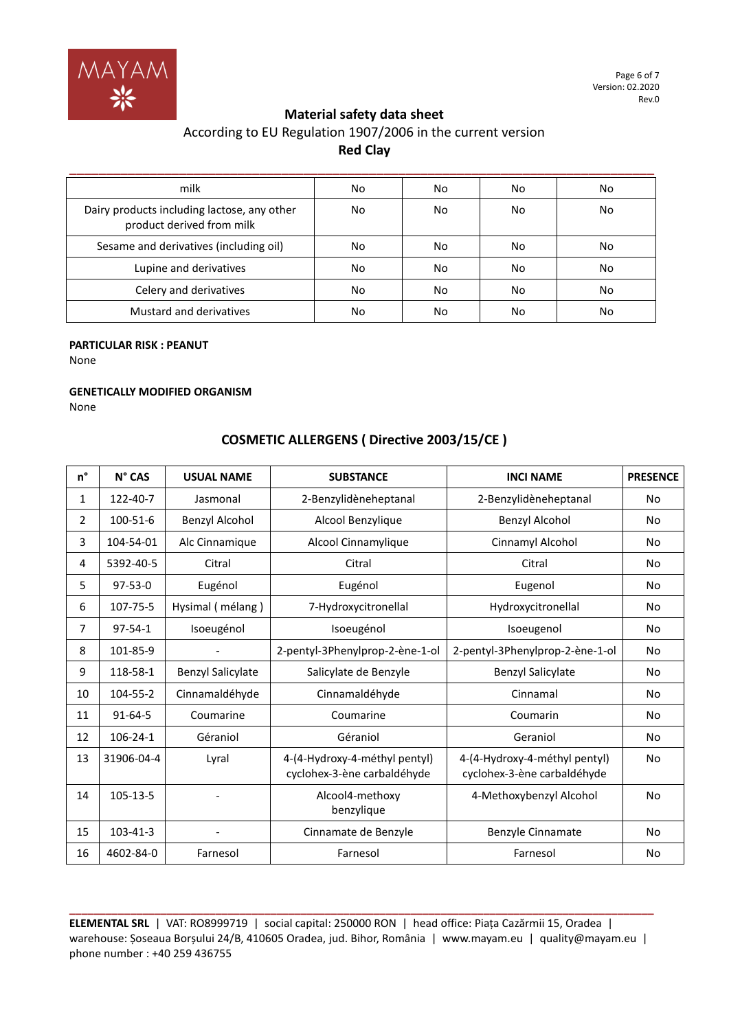

# According to EU Regulation 1907/2006 in the current version **Red Clay**

| milk                                                                     | No | No | No | No |
|--------------------------------------------------------------------------|----|----|----|----|
| Dairy products including lactose, any other<br>product derived from milk | No | No | No | No |
| Sesame and derivatives (including oil)                                   | No | No | No | No |
| Lupine and derivatives                                                   | No | No | No | No |
| Celery and derivatives                                                   | No | No | No | No |
| Mustard and derivatives                                                  | No | No | No | No |

### **PARTICULAR RISK : PEANUT**

None

#### **GENETICALLY MODIFIED ORGANISM**

None

# **COSMETIC ALLERGENS ( Directive 2003/15/CE )**

| n° | N° CAS         | <b>USUAL NAME</b>        | <b>SUBSTANCE</b>                                             | <b>INCI NAME</b>                                             | <b>PRESENCE</b> |
|----|----------------|--------------------------|--------------------------------------------------------------|--------------------------------------------------------------|-----------------|
| 1  | 122-40-7       | Jasmonal                 | 2-Benzylidèneheptanal                                        | 2-Benzylidèneheptanal                                        | No              |
| 2  | 100-51-6       | Benzyl Alcohol           | Alcool Benzylique                                            | Benzyl Alcohol                                               | No              |
| 3  | 104-54-01      | Alc Cinnamique           | Alcool Cinnamylique                                          | Cinnamyl Alcohol                                             | No              |
| 4  | 5392-40-5      | Citral                   | Citral                                                       | Citral                                                       | No              |
| 5  | $97 - 53 - 0$  | Eugénol                  | Eugénol                                                      | Eugenol                                                      | No              |
| 6  | 107-75-5       | Hysimal (mélang)         | 7-Hydroxycitronellal                                         | Hydroxycitronellal                                           | No              |
| 7  | $97 - 54 - 1$  | Isoeugénol               | Isoeugénol                                                   | Isoeugenol                                                   | No              |
| 8  | 101-85-9       |                          | 2-pentyl-3Phenylprop-2-ène-1-ol                              | 2-pentyl-3Phenylprop-2-ène-1-ol                              | No              |
| 9  | 118-58-1       | <b>Benzyl Salicylate</b> | Salicylate de Benzyle                                        | <b>Benzyl Salicylate</b>                                     | No              |
| 10 | 104-55-2       | Cinnamaldéhyde           | Cinnamaldéhyde                                               | Cinnamal                                                     | No              |
| 11 | $91 - 64 - 5$  | Coumarine                | Coumarine                                                    | Coumarin                                                     | No              |
| 12 | $106 - 24 - 1$ | Géraniol                 | Géraniol                                                     | Geraniol                                                     | No              |
| 13 | 31906-04-4     | Lyral                    | 4-(4-Hydroxy-4-méthyl pentyl)<br>cyclohex-3-ène carbaldéhyde | 4-(4-Hydroxy-4-méthyl pentyl)<br>cyclohex-3-ène carbaldéhyde | <b>No</b>       |
| 14 | 105-13-5       |                          | Alcool4-methoxy<br>benzylique                                | 4-Methoxybenzyl Alcohol                                      | No              |
| 15 | 103-41-3       |                          | Cinnamate de Benzyle                                         | Benzyle Cinnamate                                            | No              |
| 16 | 4602-84-0      | Farnesol                 | Farnesol                                                     | Farnesol                                                     | No              |

**ELEMENTAL SRL** | VAT: RO8999719 | social capital: 250000 RON | head office: Piața Cazărmii 15, Oradea | warehouse: Șoseaua Borșului 24/B, 410605 Oradea, jud. Bihor, România | www.mayam.eu | quality@mayam.eu | phone number : +40 259 436755